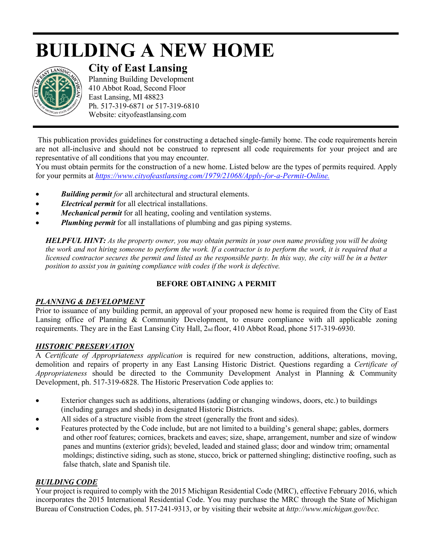# **BUILDING A NEW HOME**



# **City of East Lansing**

Planning Building Development 410 Abbot Road, Second Floor East Lansing, MI 48823 Ph. 517-319-6871 or 517-319-6810 Website: cityofeastlansing.com

This publication provides guidelines for constructing a detached single-family home. The code requirements herein are not all-inclusive and should not be construed to represent all code requirements for your project and are representative of all conditions that you may encounter.

You must obtain permits for the construction of a new home. Listed below are the types of permits required. Apply for your permits at *[https://www.cityofeastlansing.com/1979/21068/Apply-for-a-Permit-Online.](https://gcc02.safelinks.protection.outlook.com/?url=https%3A%2F%2Fwww.cityofeastlansing.com%2F1979%2F21068%2FApply-for-a-Permit-Online&data=02%7C01%7Clyabs%40cityofeastlansing.com%7Cb9fe59df82de4643f38008d84e6d8f26%7C42c2237340d243c6b22f2c6f445fa115%7C0%7C0%7C637345579751519156&sdata=JYaSysmPHUZPke1N8AkQPIhf%2Bps%2FuXYwaY23UuMZrWo%3D&reserved=0)*

- *Building permit for* all architectural and structural elements.
- *Electrical permit* for all electrical installations.
- *Mechanical permit* for all heating, cooling and ventilation systems.
- *Plumbing permit* for all installations of plumbing and gas piping systems.

*HELPFUL HINT: As the property owner, you may obtain permits in your own name providing you will be doing the work and not hiring someone to perform the work. If a contractor is to perform the work, it is required that a licensed contractor secures the permit and listed as the responsible party. In this way, the city will be in a better position to assist you in gaining compliance with codes if the work is defective.*

# **BEFORE OBTAINING A PERMIT**

#### *PLANNING & DEVELOPMENT*

Prior to issuance of any building permit, an approval of your proposed new home is required from the City of East Lansing office of Planning & Community Development, to ensure compliance with all applicable zoning requirements. They are in the East Lansing City Hall, 2nd floor, 410 Abbot Road, phone 517-319-6930.

#### *HISTORIC PRESERVATION*

A *Certificate of Appropriateness application* is required for new construction, additions, alterations, moving, demolition and repairs of property in any East Lansing Historic District. Questions regarding a *Certificate of Appropriateness* should be directed to the Community Development Analyst in Planning & Community Development, ph. 517-319-6828. The Historic Preservation Code applies to:

- Exterior changes such as additions, alterations (adding or changing windows, doors, etc.) to buildings (including garages and sheds) in designated Historic Districts.
- All sides of a structure visible from the street (generally the front and sides).
- Features protected by the Code include, but are not limited to a building's general shape; gables, dormers and other roof features; cornices, brackets and eaves; size, shape, arrangement, number and size of window panes and muntins (exterior grids); beveled, leaded and stained glass; door and window trim; ornamental moldings; distinctive siding, such as stone, stucco, brick or patterned shingling; distinctive roofing, such as false thatch, slate and Spanish tile.

#### *BUILDING CODE*

Your project is required to comply with the 2015 Michigan Residential Code (MRC), effective February 2016, which incorporates the 2015 International Residential Code. You may purchase the MRC through the State of Michigan Bureau of Construction Codes, ph. 517-241-9313, or by visiting their website at *http://www.michigan.gov/bcc.*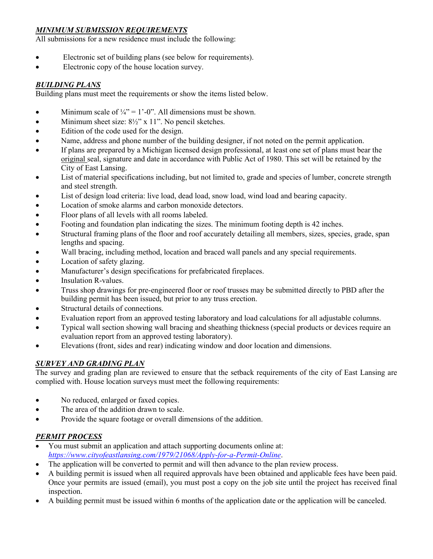#### *MINIMUM SUBMISSION REQUIREMENTS*

All submissions for a new residence must include the following:

- Electronic set of building plans (see below for requirements).
- Electronic copy of the house location survey.

#### *BUILDING PLANS*

Building plans must meet the requirements or show the items listed below.

- Minimum scale of  $\frac{1}{4}$ " = 1'-0". All dimensions must be shown.
- Minimum sheet size:  $8\frac{1}{2}$ " x 11". No pencil sketches.
- Edition of the code used for the design.
- Name, address and phone number of the building designer, if not noted on the permit application.
- If plans are prepared by a Michigan licensed design professional, at least one set of plans must bear the original seal, signature and date in accordance with Public Act of 1980. This set will be retained by the City of East Lansing.
- List of material specifications including, but not limited to, grade and species of lumber, concrete strength and steel strength.
- List of design load criteria: live load, dead load, snow load, wind load and bearing capacity.
- Location of smoke alarms and carbon monoxide detectors.
- Floor plans of all levels with all rooms labeled.
- Footing and foundation plan indicating the sizes. The minimum footing depth is 42 inches.
- Structural framing plans of the floor and roof accurately detailing all members, sizes, species, grade, span lengths and spacing.
- Wall bracing, including method, location and braced wall panels and any special requirements.
- Location of safety glazing.
- Manufacturer's design specifications for prefabricated fireplaces.
- Insulation R-values.
- Truss shop drawings for pre-engineered floor or roof trusses may be submitted directly to PBD after the building permit has been issued, but prior to any truss erection.
- Structural details of connections.
- Evaluation report from an approved testing laboratory and load calculations for all adjustable columns.
- Typical wall section showing wall bracing and sheathing thickness (special products or devices require an evaluation report from an approved testing laboratory).
- Elevations (front, sides and rear) indicating window and door location and dimensions.

# *SURVEY AND GRADING PLAN*

The survey and grading plan are reviewed to ensure that the setback requirements of the city of East Lansing are complied with. House location surveys must meet the following requirements:

- No reduced, enlarged or faxed copies.
- The area of the addition drawn to scale.
- Provide the square footage or overall dimensions of the addition.

# *PERMIT PROCESS*

- You must submit an application and attach supporting documents online at: *<https://www.cityofeastlansing.com/1979/21068/Apply-for-a-Permit-Online>*.
- The application will be converted to permit and will then advance to the plan review process.
- A building permit is issued when all required approvals have been obtained and applicable fees have been paid. Once your permits are issued (email), you must post a copy on the job site until the project has received final inspection.
- A building permit must be issued within 6 months of the application date or the application will be canceled.